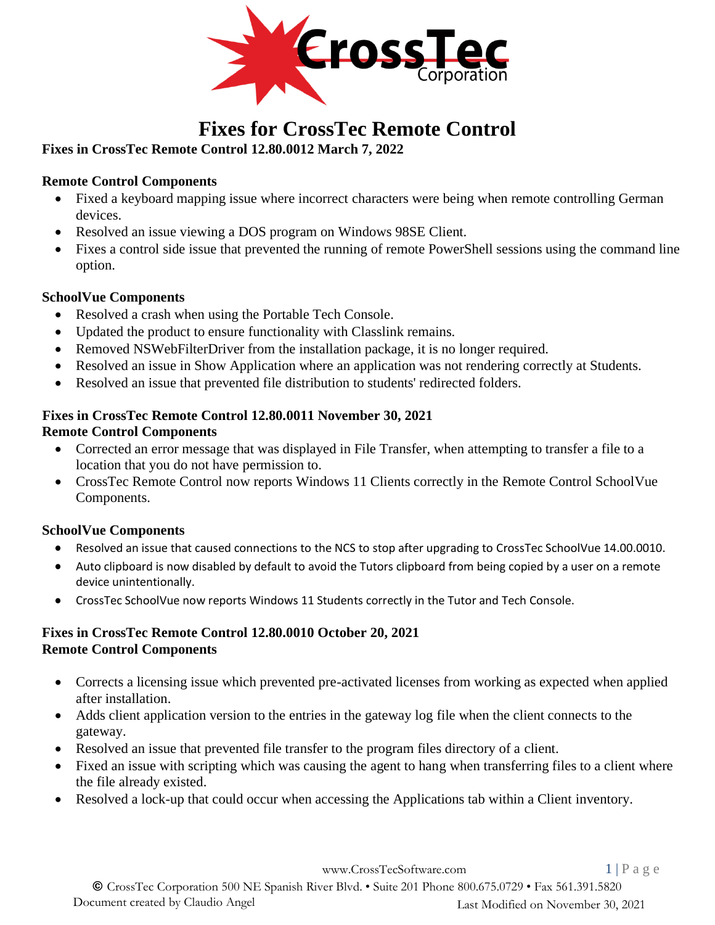

# **Fixes for CrossTec Remote Control**

### **Fixes in CrossTec Remote Control 12.80.0012 March 7, 2022**

### **Remote Control Components**

- Fixed a keyboard mapping issue where incorrect characters were being when remote controlling German devices.
- Resolved an issue viewing a DOS program on Windows 98SE Client.
- Fixes a control side issue that prevented the running of remote PowerShell sessions using the command line option.

#### **SchoolVue Components**

- Resolved a crash when using the Portable Tech Console.
- Updated the product to ensure functionality with Classlink remains.
- Removed NSWebFilterDriver from the installation package, it is no longer required.
- Resolved an issue in Show Application where an application was not rendering correctly at Students.
- Resolved an issue that prevented file distribution to students' redirected folders.

### **Fixes in CrossTec Remote Control 12.80.0011 November 30, 2021**

#### **Remote Control Components**

- Corrected an error message that was displayed in File Transfer, when attempting to transfer a file to a location that you do not have permission to.
- CrossTec Remote Control now reports Windows 11 Clients correctly in the Remote Control SchoolVue Components.

### **SchoolVue Components**

- Resolved an issue that caused connections to the NCS to stop after upgrading to CrossTec SchoolVue 14.00.0010.
- Auto clipboard is now disabled by default to avoid the Tutors clipboard from being copied by a user on a remote device unintentionally.
- CrossTec SchoolVue now reports Windows 11 Students correctly in the Tutor and Tech Console.

#### **Fixes in CrossTec Remote Control 12.80.0010 October 20, 2021 Remote Control Components**

- Corrects a licensing issue which prevented pre-activated licenses from working as expected when applied after installation.
- Adds client application version to the entries in the gateway log file when the client connects to the gateway.
- Resolved an issue that prevented file transfer to the program files directory of a client.
- Fixed an issue with scripting which was causing the agent to hang when transferring files to a client where the file already existed.
- Resolved a lock-up that could occur when accessing the Applications tab within a Client inventory.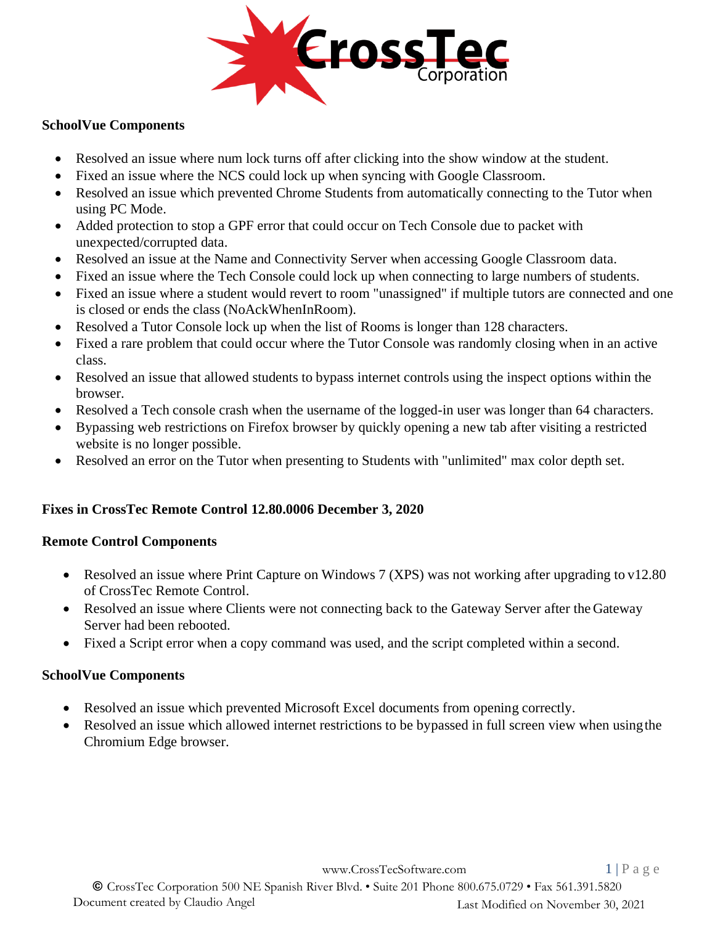

#### **SchoolVue Components**

- Resolved an issue where num lock turns off after clicking into the show window at the student.
- Fixed an issue where the NCS could lock up when syncing with Google Classroom.
- Resolved an issue which prevented Chrome Students from automatically connecting to the Tutor when using PC Mode.
- Added protection to stop a GPF error that could occur on Tech Console due to packet with unexpected/corrupted data.
- Resolved an issue at the Name and Connectivity Server when accessing Google Classroom data.
- Fixed an issue where the Tech Console could lock up when connecting to large numbers of students.
- Fixed an issue where a student would revert to room "unassigned" if multiple tutors are connected and one is closed or ends the class (NoAckWhenInRoom).
- Resolved a Tutor Console lock up when the list of Rooms is longer than 128 characters.
- Fixed a rare problem that could occur where the Tutor Console was randomly closing when in an active class.
- Resolved an issue that allowed students to bypass internet controls using the inspect options within the browser.
- Resolved a Tech console crash when the username of the logged-in user was longer than 64 characters.
- Bypassing web restrictions on Firefox browser by quickly opening a new tab after visiting a restricted website is no longer possible.
- Resolved an error on the Tutor when presenting to Students with "unlimited" max color depth set.

#### **Fixes in CrossTec Remote Control 12.80.0006 December 3, 2020**

#### **Remote Control Components**

- Resolved an issue where Print Capture on Windows 7 (XPS) was not working after upgrading to v12.80 of CrossTec Remote Control.
- Resolved an issue where Clients were not connecting back to the Gateway Server after the Gateway Server had been rebooted.
- Fixed a Script error when a copy command was used, and the script completed within a second.

#### **SchoolVue Components**

- Resolved an issue which prevented Microsoft Excel documents from opening correctly.
- Resolved an issue which allowed internet restrictions to be bypassed in full screen view when usingthe Chromium Edge browser.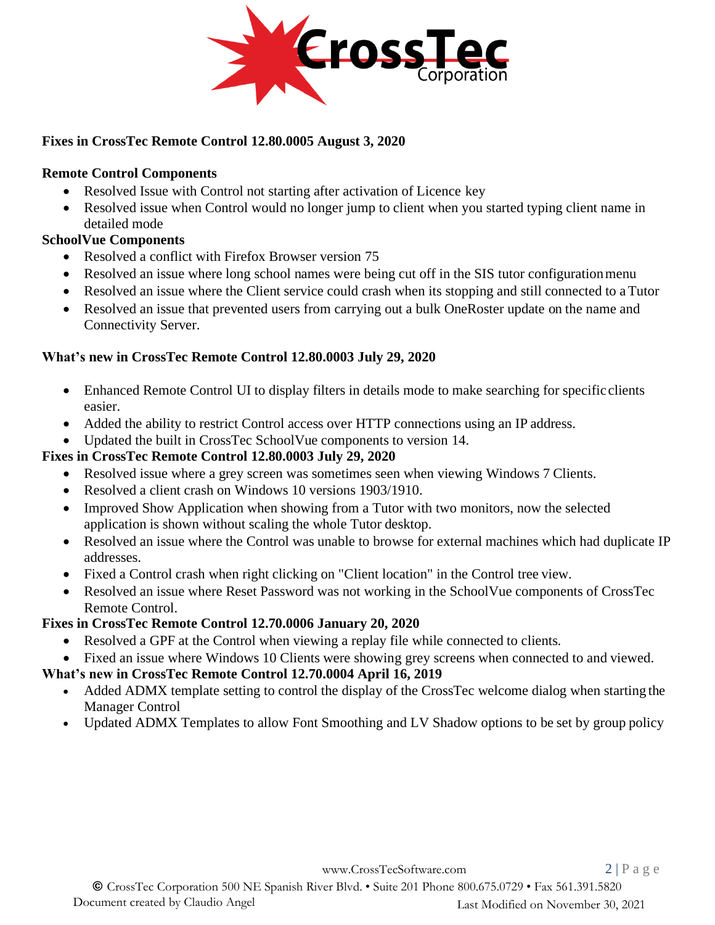

### **Fixes in CrossTec Remote Control 12.80.0005 August 3, 2020**

#### **Remote Control Components**

- Resolved Issue with Control not starting after activation of Licence key
- Resolved issue when Control would no longer jump to client when you started typing client name in detailed mode

### **SchoolVue Components**

- Resolved a conflict with Firefox Browser version 75
- Resolved an issue where long school names were being cut off in the SIS tutor configuration menu
- Resolved an issue where the Client service could crash when its stopping and still connected to a Tutor
- Resolved an issue that prevented users from carrying out a bulk OneRoster update on the name and Connectivity Server.

### **What's new in CrossTec Remote Control 12.80.0003 July 29, 2020**

- Enhanced Remote Control UI to display filters in details mode to make searching for specific clients easier.
- Added the ability to restrict Control access over HTTP connections using an IP address.
- Updated the built in CrossTec SchoolVue components to version 14.

### **Fixes in CrossTec Remote Control 12.80.0003 July 29, 2020**

- Resolved issue where a grey screen was sometimes seen when viewing Windows 7 Clients.
- Resolved a client crash on Windows 10 versions 1903/1910.
- Improved Show Application when showing from a Tutor with two monitors, now the selected application is shown without scaling the whole Tutor desktop.
- Resolved an issue where the Control was unable to browse for external machines which had duplicate IP addresses.
- Fixed a Control crash when right clicking on "Client location" in the Control tree view.
- Resolved an issue where Reset Password was not working in the SchoolVue components of CrossTec Remote Control.

### **Fixes in CrossTec Remote Control 12.70.0006 January 20, 2020**

- Resolved a GPF at the Control when viewing a replay file while connected to clients.
- Fixed an issue where Windows 10 Clients were showing grey screens when connected to and viewed.

### **What's new in CrossTec Remote Control 12.70.0004 April 16, 2019**

- Added ADMX template setting to control the display of the CrossTec welcome dialog when starting the Manager Control
- Updated ADMX Templates to allow Font Smoothing and LV Shadow options to be set by group policy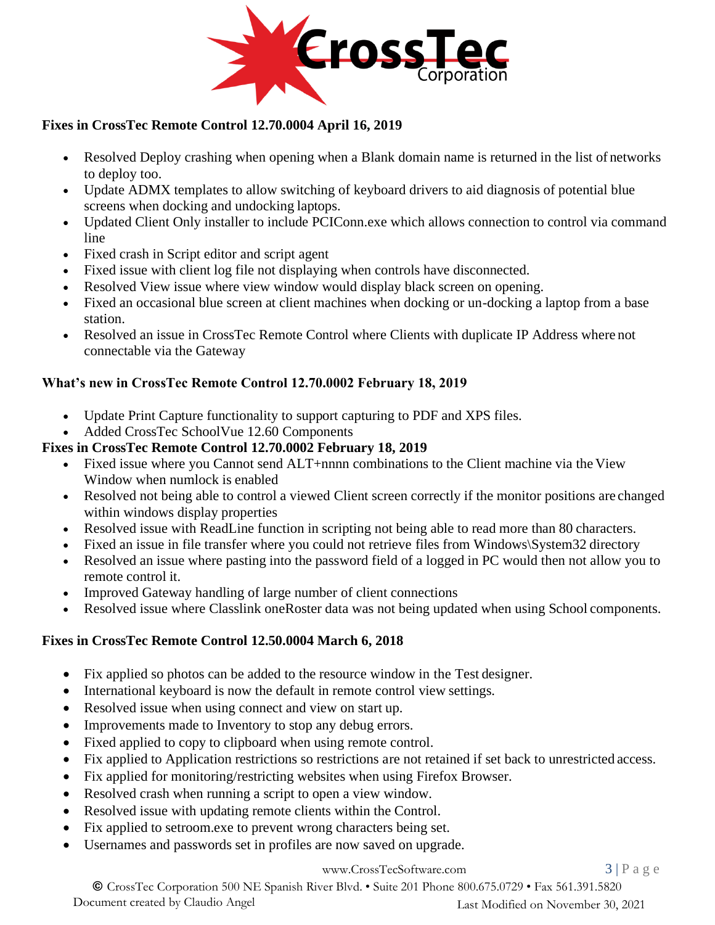

### **Fixes in CrossTec Remote Control 12.70.0004 April 16, 2019**

- Resolved Deploy crashing when opening when a Blank domain name is returned in the list of networks to deploy too.
- Update ADMX templates to allow switching of keyboard drivers to aid diagnosis of potential blue screens when docking and undocking laptops.
- Updated Client Only installer to include PCIConn.exe which allows connection to control via command line
- Fixed crash in Script editor and script agent
- Fixed issue with client log file not displaying when controls have disconnected.
- Resolved View issue where view window would display black screen on opening.
- Fixed an occasional blue screen at client machines when docking or un-docking a laptop from a base station.
- Resolved an issue in CrossTec Remote Control where Clients with duplicate IP Address where not connectable via the Gateway

### **What's new in CrossTec Remote Control 12.70.0002 February 18, 2019**

- Update Print Capture functionality to support capturing to PDF and XPS files.
- Added CrossTec SchoolVue 12.60 Components

#### **Fixes in CrossTec Remote Control 12.70.0002 February 18, 2019**

- Fixed issue where you Cannot send ALT+nnnn combinations to the Client machine via the View Window when numlock is enabled
- Resolved not being able to control a viewed Client screen correctly if the monitor positions are changed within windows display properties
- Resolved issue with ReadLine function in scripting not being able to read more than 80 characters.
- Fixed an issue in file transfer where you could not retrieve files from Windows\System32 directory
- Resolved an issue where pasting into the password field of a logged in PC would then not allow you to remote control it.
- Improved Gateway handling of large number of client connections
- Resolved issue where Classlink oneRoster data was not being updated when using School components.

#### **Fixes in CrossTec Remote Control 12.50.0004 March 6, 2018**

- Fix applied so photos can be added to the resource window in the Test designer.
- International keyboard is now the default in remote control view settings.
- Resolved issue when using connect and view on start up.
- Improvements made to Inventory to stop any debug errors.
- Fixed applied to copy to clipboard when using remote control.
- Fix applied to Application restrictions so restrictions are not retained if set back to unrestricted access.
- Fix applied for monitoring/restricting websites when using Firefox Browser.
- Resolved crash when running a script to open a view window.
- Resolved issue with updating remote clients within the Control.
- Fix applied to setroom.exe to prevent wrong characters being set.
- Usernames and passwords set in profiles are now saved on upgrade.

#### [www.CrossTecSoftware.com](http://www.crosstecsoftware.com/) 3 | P a g e

© CrossTec Corporation 500 NE Spanish River Blvd. • Suite 201 Phone 800.675.0729 • Fax 561.391.5820 Document created by Claudio Angel Last Modified on November 30, 2021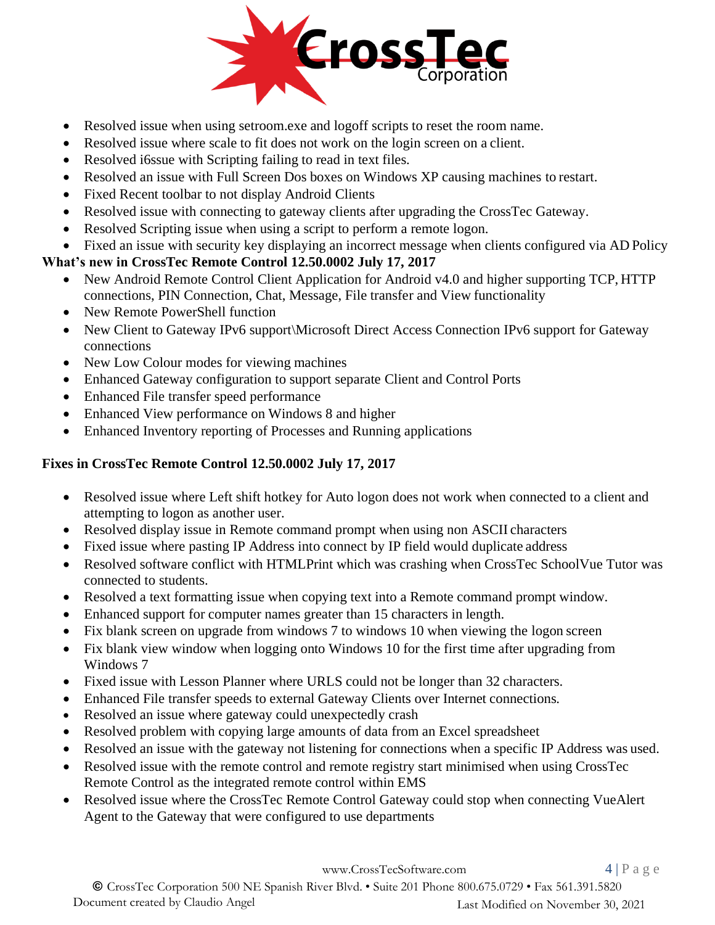

- Resolved issue when using setroom.exe and logoff scripts to reset the room name.
- Resolved issue where scale to fit does not work on the login screen on a client.
- Resolved i6ssue with Scripting failing to read in text files.
- Resolved an issue with Full Screen Dos boxes on Windows XP causing machines to restart.
- Fixed Recent toolbar to not display Android Clients
- Resolved issue with connecting to gateway clients after upgrading the CrossTec Gateway.
- Resolved Scripting issue when using a script to perform a remote logon.
- Fixed an issue with security key displaying an incorrect message when clients configured via AD Policy

### **What's new in CrossTec Remote Control 12.50.0002 July 17, 2017**

- New Android Remote Control Client Application for Android v4.0 and higher supporting TCP, HTTP connections, PIN Connection, Chat, Message, File transfer and View functionality
- New Remote PowerShell function
- New Client to Gateway IPv6 support\Microsoft Direct Access Connection IPv6 support for Gateway connections
- New Low Colour modes for viewing machines
- Enhanced Gateway configuration to support separate Client and Control Ports
- Enhanced File transfer speed performance
- Enhanced View performance on Windows 8 and higher
- Enhanced Inventory reporting of Processes and Running applications

### **Fixes in CrossTec Remote Control 12.50.0002 July 17, 2017**

- Resolved issue where Left shift hotkey for Auto logon does not work when connected to a client and attempting to logon as another user.
- Resolved display issue in Remote command prompt when using non ASCII characters
- Fixed issue where pasting IP Address into connect by IP field would duplicate address
- Resolved software conflict with HTMLPrint which was crashing when CrossTec SchoolVue Tutor was connected to students.
- Resolved a text formatting issue when copying text into a Remote command prompt window.
- Enhanced support for computer names greater than 15 characters in length.
- Fix blank screen on upgrade from windows 7 to windows 10 when viewing the logon screen
- Fix blank view window when logging onto Windows 10 for the first time after upgrading from Windows 7
- Fixed issue with Lesson Planner where URLS could not be longer than 32 characters.
- Enhanced File transfer speeds to external Gateway Clients over Internet connections.
- Resolved an issue where gateway could unexpectedly crash
- Resolved problem with copying large amounts of data from an Excel spreadsheet
- Resolved an issue with the gateway not listening for connections when a specific IP Address was used.
- Resolved issue with the remote control and remote registry start minimised when using CrossTec Remote Control as the integrated remote control within EMS
- Resolved issue where the CrossTec Remote Control Gateway could stop when connecting VueAlert Agent to the Gateway that were configured to use departments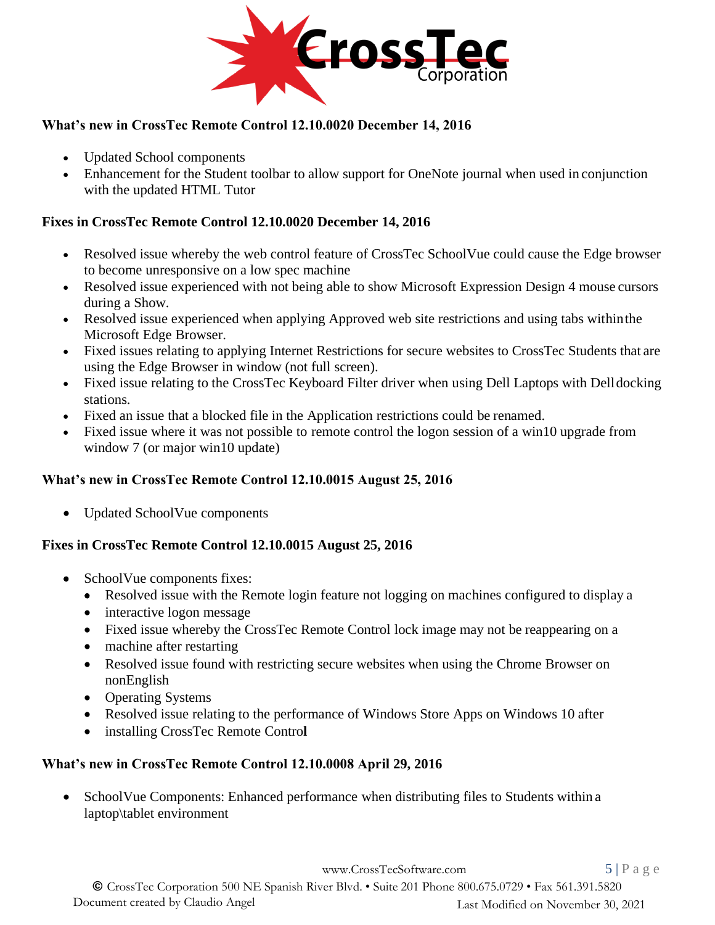

### **What's new in CrossTec Remote Control 12.10.0020 December 14, 2016**

- Updated School components
- Enhancement for the Student toolbar to allow support for OneNote journal when used in conjunction with the updated HTML Tutor

### **Fixes in CrossTec Remote Control 12.10.0020 December 14, 2016**

- Resolved issue whereby the web control feature of CrossTec SchoolVue could cause the Edge browser to become unresponsive on a low spec machine
- Resolved issue experienced with not being able to show Microsoft Expression Design 4 mouse cursors during a Show.
- Resolved issue experienced when applying Approved web site restrictions and using tabs within the Microsoft Edge Browser.
- Fixed issues relating to applying Internet Restrictions for secure websites to CrossTec Students that are using the Edge Browser in window (not full screen).
- Fixed issue relating to the CrossTec Keyboard Filter driver when using Dell Laptops with Delldocking stations.
- Fixed an issue that a blocked file in the Application restrictions could be renamed.
- Fixed issue where it was not possible to remote control the logon session of a win10 upgrade from window 7 (or major win10 update)

### **What's new in CrossTec Remote Control 12.10.0015 August 25, 2016**

• Updated SchoolVue components

### **Fixes in CrossTec Remote Control 12.10.0015 August 25, 2016**

- SchoolVue components fixes:
	- Resolved issue with the Remote login feature not logging on machines configured to display a
	- interactive logon message
	- Fixed issue whereby the CrossTec Remote Control lock image may not be reappearing on a
	- machine after restarting
	- Resolved issue found with restricting secure websites when using the Chrome Browser on nonEnglish
	- Operating Systems
	- Resolved issue relating to the performance of Windows Store Apps on Windows 10 after
	- installing CrossTec Remote Contro**l**

### **What's new in CrossTec Remote Control 12.10.0008 April 29, 2016**

• SchoolVue Components: Enhanced performance when distributing files to Students within a laptop\tablet environment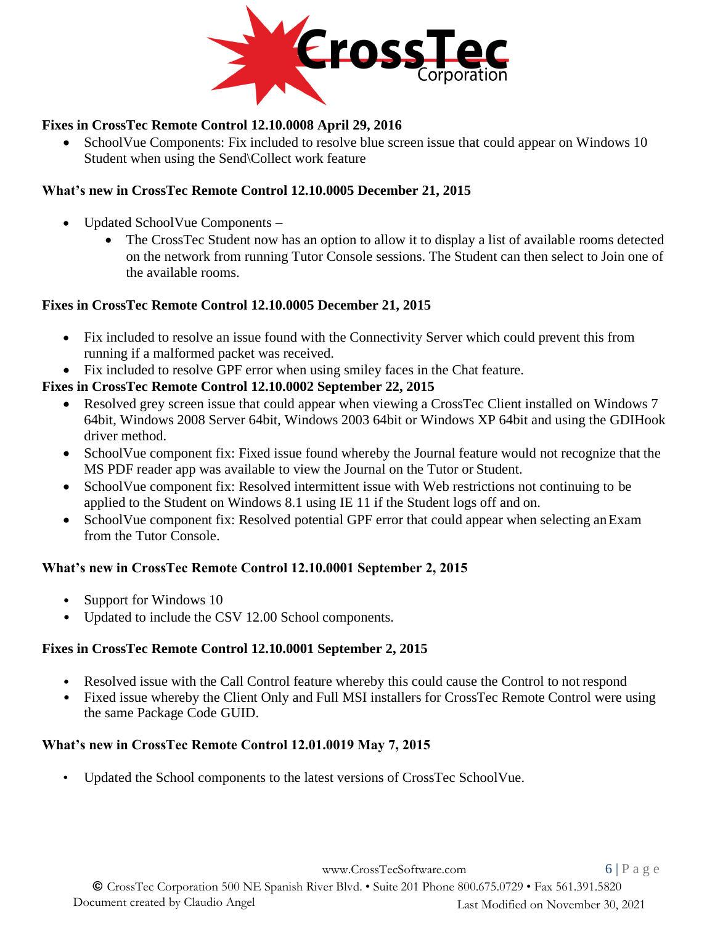

### **Fixes in CrossTec Remote Control 12.10.0008 April 29, 2016**

• SchoolVue Components: Fix included to resolve blue screen issue that could appear on Windows 10 Student when using the Send\Collect work feature

### **What's new in CrossTec Remote Control 12.10.0005 December 21, 2015**

- Updated SchoolVue Components
	- The CrossTec Student now has an option to allow it to display a list of available rooms detected on the network from running Tutor Console sessions. The Student can then select to Join one of the available rooms.

#### **Fixes in CrossTec Remote Control 12.10.0005 December 21, 2015**

- Fix included to resolve an issue found with the Connectivity Server which could prevent this from running if a malformed packet was received.
- Fix included to resolve GPF error when using smiley faces in the Chat feature.

### **Fixes in CrossTec Remote Control 12.10.0002 September 22, 2015**

- Resolved grey screen issue that could appear when viewing a CrossTec Client installed on Windows 7 64bit, Windows 2008 Server 64bit, Windows 2003 64bit or Windows XP 64bit and using the GDIHook driver method.
- SchoolVue component fix: Fixed issue found whereby the Journal feature would not recognize that the MS PDF reader app was available to view the Journal on the Tutor or Student.
- SchoolVue component fix: Resolved intermittent issue with Web restrictions not continuing to be applied to the Student on Windows 8.1 using IE 11 if the Student logs off and on.
- SchoolVue component fix: Resolved potential GPF error that could appear when selecting an Exam from the Tutor Console.

#### **What's new in CrossTec Remote Control 12.10.0001 September 2, 2015**

- Support for Windows 10
- Updated to include the CSV 12.00 School components.

#### **Fixes in CrossTec Remote Control 12.10.0001 September 2, 2015**

- Resolved issue with the Call Control feature whereby this could cause the Control to not respond
- Fixed issue whereby the Client Only and Full MSI installers for CrossTec Remote Control were using the same Package Code GUID.

#### **What's new in CrossTec Remote Control 12.01.0019 May 7, 2015**

• Updated the School components to the latest versions of CrossTec SchoolVue.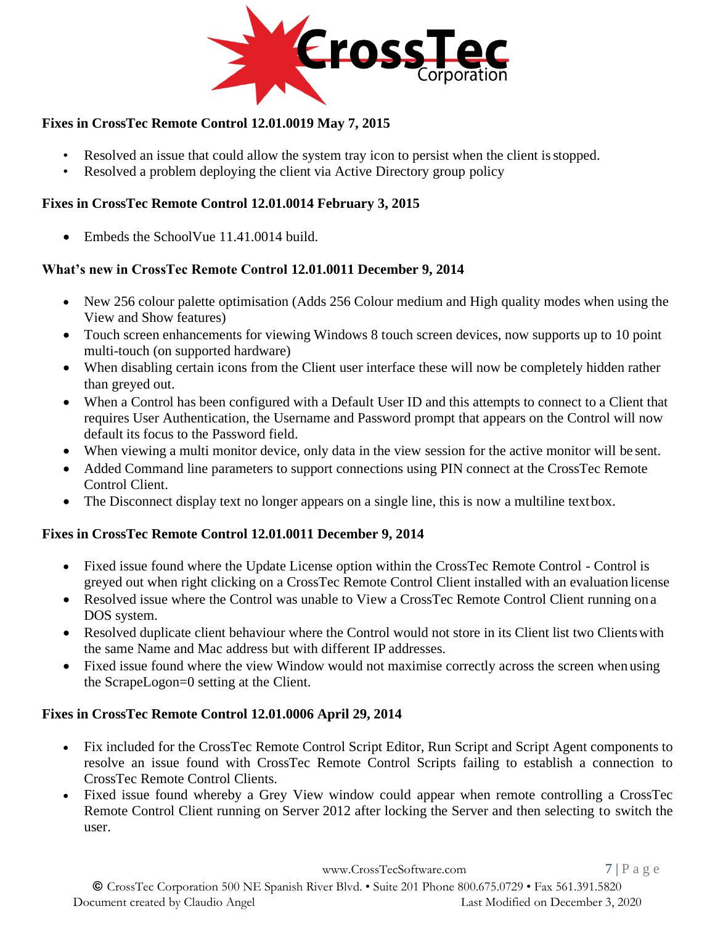

### **Fixes in CrossTec Remote Control 12.01.0019 May 7, 2015**

- Resolved an issue that could allow the system tray icon to persist when the client isstopped.
- Resolved a problem deploying the client via Active Directory group policy

### **Fixes in CrossTec Remote Control 12.01.0014 February 3, 2015**

Embeds the SchoolVue 11.41.0014 build.

### **What's new in CrossTec Remote Control 12.01.0011 December 9, 2014**

- New 256 colour palette optimisation (Adds 256 Colour medium and High quality modes when using the View and Show features)
- Touch screen enhancements for viewing Windows 8 touch screen devices, now supports up to 10 point multi-touch (on supported hardware)
- When disabling certain icons from the Client user interface these will now be completely hidden rather than greyed out.
- When a Control has been configured with a Default User ID and this attempts to connect to a Client that requires User Authentication, the Username and Password prompt that appears on the Control will now default its focus to the Password field.
- When viewing a multi monitor device, only data in the view session for the active monitor will be sent.
- Added Command line parameters to support connections using PIN connect at the CrossTec Remote Control Client.
- The Disconnect display text no longer appears on a single line, this is now a multiline text box.

### **Fixes in CrossTec Remote Control 12.01.0011 December 9, 2014**

- Fixed issue found where the Update License option within the CrossTec Remote Control Control is greyed out when right clicking on a CrossTec Remote Control Client installed with an evaluation license
- Resolved issue where the Control was unable to View a CrossTec Remote Control Client running on a DOS system.
- Resolved duplicate client behaviour where the Control would not store in its Client list two Clients with the same Name and Mac address but with different IP addresses.
- Fixed issue found where the view Window would not maximise correctly across the screen when using the ScrapeLogon=0 setting at the Client.

#### **Fixes in CrossTec Remote Control 12.01.0006 April 29, 2014**

- Fix included for the CrossTec Remote Control Script Editor, Run Script and Script Agent components to resolve an issue found with CrossTec Remote Control Scripts failing to establish a connection to CrossTec Remote Control Clients.
- Fixed issue found whereby a Grey View window could appear when remote controlling a CrossTec Remote Control Client running on Server 2012 after locking the Server and then selecting to switch the user.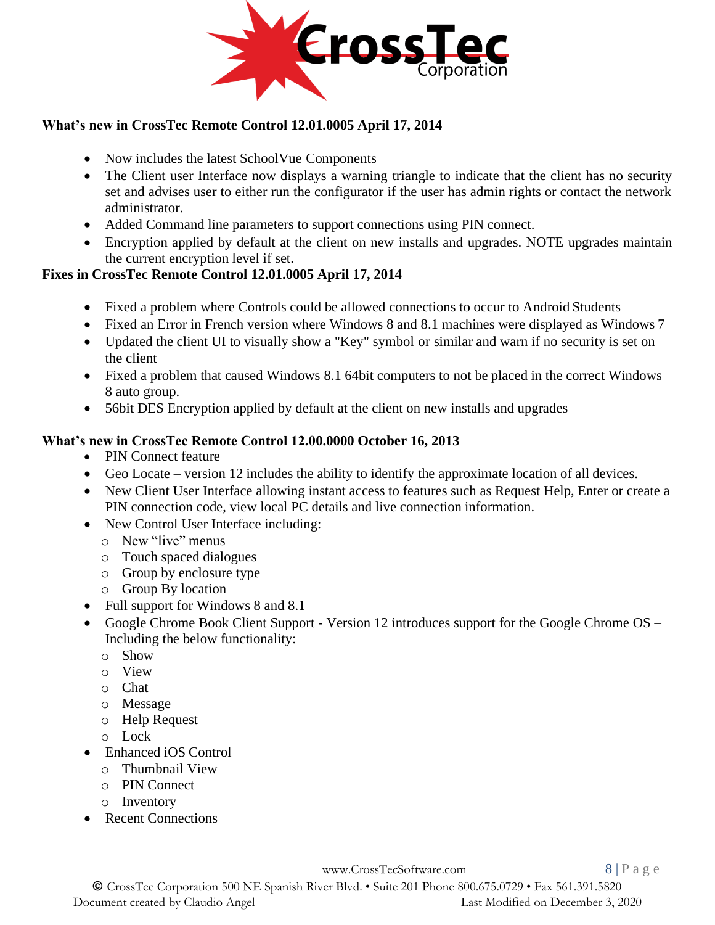

### **What's new in CrossTec Remote Control 12.01.0005 April 17, 2014**

- Now includes the latest SchoolVue Components
- The Client user Interface now displays a warning triangle to indicate that the client has no security set and advises user to either run the configurator if the user has admin rights or contact the network administrator.
- Added Command line parameters to support connections using PIN connect.
- Encryption applied by default at the client on new installs and upgrades. NOTE upgrades maintain the current encryption level if set.

### **Fixes in CrossTec Remote Control 12.01.0005 April 17, 2014**

- Fixed a problem where Controls could be allowed connections to occur to Android Students
- Fixed an Error in French version where Windows 8 and 8.1 machines were displayed as Windows 7
- Updated the client UI to visually show a "Key" symbol or similar and warn if no security is set on the client
- Fixed a problem that caused Windows 8.1 64bit computers to not be placed in the correct Windows 8 auto group.
- 56bit DES Encryption applied by default at the client on new installs and upgrades

### **What's new in CrossTec Remote Control 12.00.0000 October 16, 2013**

- PIN Connect feature
- Geo Locate version 12 includes the ability to identify the approximate location of all devices.
- New Client User Interface allowing instant access to features such as Request Help, Enter or create a PIN connection code, view local PC details and live connection information.
- New Control User Interface including:
	- o New "live" menus
	- o Touch spaced dialogues
	- o Group by enclosure type
	- o Group By location
- Full support for Windows 8 and 8.1
- Google Chrome Book Client Support Version 12 introduces support for the Google Chrome OS Including the below functionality:
	- o Show
	- o View
	- o Chat
	- o Message
	- o Help Request
	- o Lock
- Enhanced iOS Control
	- o Thumbnail View
	- o PIN Connect
	- o Inventory
- Recent Connections

[www.CrossTecSoftware.com](http://www.crosstecsoftware.com/) 8 | P a g e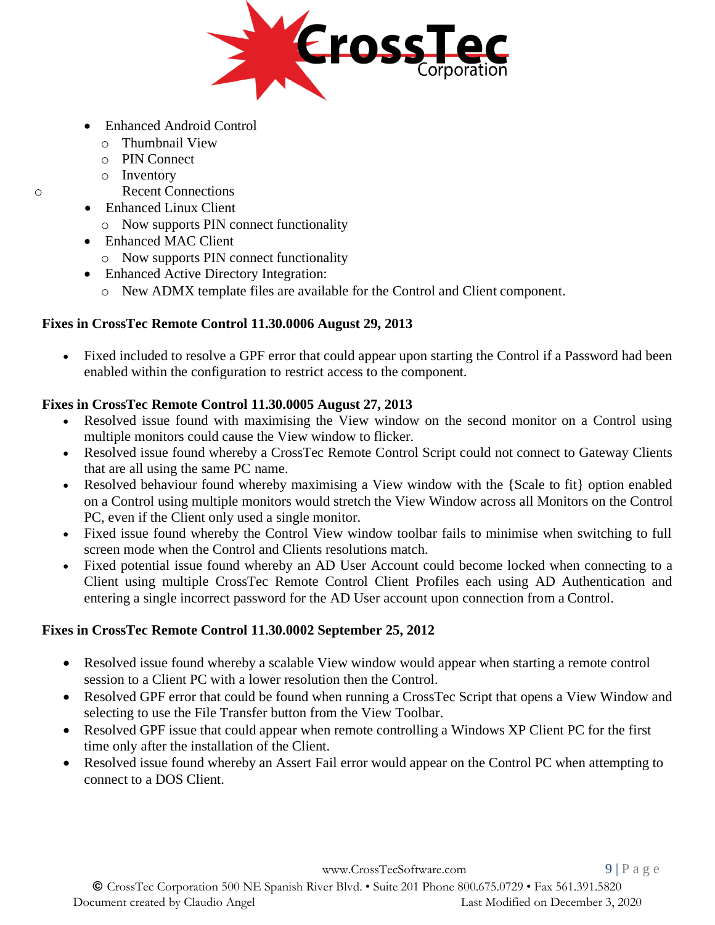

- Enhanced Android Control
	- o Thumbnail View
	- o PIN Connect
	- o Inventory
- o Recent Connections
	- Enhanced Linux Client
		- o Now supports PIN connect functionality
	- Enhanced MAC Client
		- o Now supports PIN connect functionality
	- Enhanced Active Directory Integration:
		- o New ADMX template files are available for the Control and Client component.

### **Fixes in CrossTec Remote Control 11.30.0006 August 29, 2013**

• Fixed included to resolve a GPF error that could appear upon starting the Control if a Password had been enabled within the configuration to restrict access to the component.

### **Fixes in CrossTec Remote Control 11.30.0005 August 27, 2013**

- Resolved issue found with maximising the View window on the second monitor on a Control using multiple monitors could cause the View window to flicker.
- Resolved issue found whereby a CrossTec Remote Control Script could not connect to Gateway Clients that are all using the same PC name.
- Resolved behaviour found whereby maximising a View window with the {Scale to fit} option enabled on a Control using multiple monitors would stretch the View Window across all Monitors on the Control PC, even if the Client only used a single monitor.
- Fixed issue found whereby the Control View window toolbar fails to minimise when switching to full screen mode when the Control and Clients resolutions match.
- Fixed potential issue found whereby an AD User Account could become locked when connecting to a Client using multiple CrossTec Remote Control Client Profiles each using AD Authentication and entering a single incorrect password for the AD User account upon connection from a Control.

### **Fixes in CrossTec Remote Control 11.30.0002 September 25, 2012**

- Resolved issue found whereby a scalable View window would appear when starting a remote control session to a Client PC with a lower resolution then the Control.
- Resolved GPF error that could be found when running a CrossTec Script that opens a View Window and selecting to use the File Transfer button from the View Toolbar.
- Resolved GPF issue that could appear when remote controlling a Windows XP Client PC for the first time only after the installation of the Client.
- Resolved issue found whereby an Assert Fail error would appear on the Control PC when attempting to connect to a DOS Client.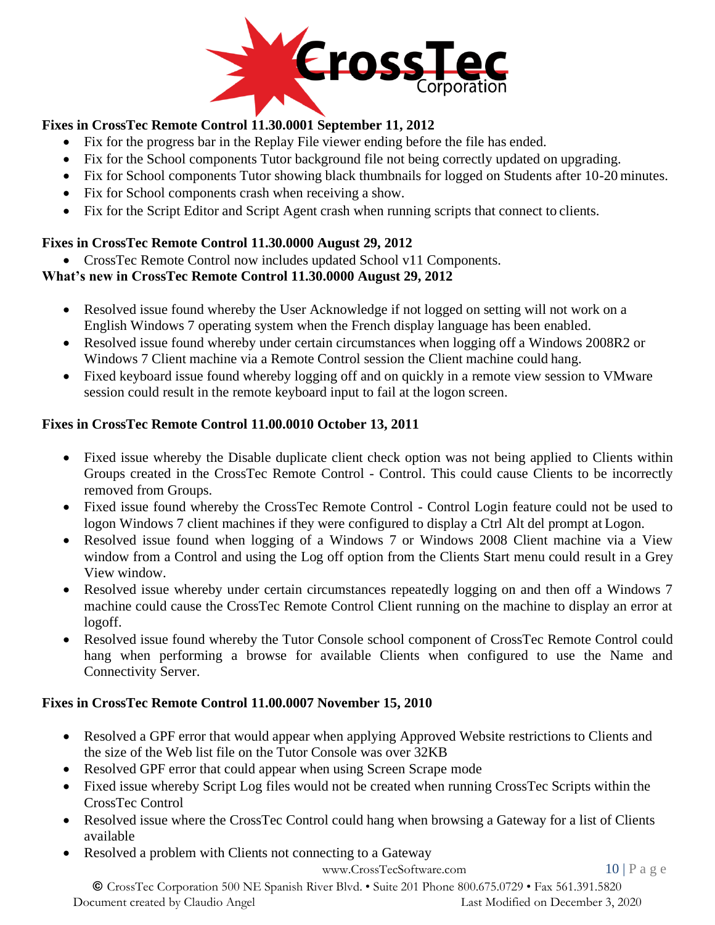

### **Fixes in CrossTec Remote Control 11.30.0001 September 11, 2012**

- Fix for the progress bar in the Replay File viewer ending before the file has ended.
- Fix for the School components Tutor background file not being correctly updated on upgrading.
- Fix for School components Tutor showing black thumbnails for logged on Students after 10-20 minutes.
- Fix for School components crash when receiving a show.
- Fix for the Script Editor and Script Agent crash when running scripts that connect to clients.

### **Fixes in CrossTec Remote Control 11.30.0000 August 29, 2012**

• CrossTec Remote Control now includes updated School v11 Components.

### **What's new in CrossTec Remote Control 11.30.0000 August 29, 2012**

- Resolved issue found whereby the User Acknowledge if not logged on setting will not work on a English Windows 7 operating system when the French display language has been enabled.
- Resolved issue found whereby under certain circumstances when logging off a Windows 2008R2 or Windows 7 Client machine via a Remote Control session the Client machine could hang.
- Fixed keyboard issue found whereby logging off and on quickly in a remote view session to VMware session could result in the remote keyboard input to fail at the logon screen.

### **Fixes in CrossTec Remote Control 11.00.0010 October 13, 2011**

- Fixed issue whereby the Disable duplicate client check option was not being applied to Clients within Groups created in the CrossTec Remote Control - Control. This could cause Clients to be incorrectly removed from Groups.
- Fixed issue found whereby the CrossTec Remote Control Control Login feature could not be used to logon Windows 7 client machines if they were configured to display a Ctrl Alt del prompt at Logon.
- Resolved issue found when logging of a Windows 7 or Windows 2008 Client machine via a View window from a Control and using the Log off option from the Clients Start menu could result in a Grey View window.
- Resolved issue whereby under certain circumstances repeatedly logging on and then off a Windows 7 machine could cause the CrossTec Remote Control Client running on the machine to display an error at logoff.
- Resolved issue found whereby the Tutor Console school component of CrossTec Remote Control could hang when performing a browse for available Clients when configured to use the Name and Connectivity Server.

### **Fixes in CrossTec Remote Control 11.00.0007 November 15, 2010**

- Resolved a GPF error that would appear when applying Approved Website restrictions to Clients and the size of the Web list file on the Tutor Console was over 32KB
- Resolved GPF error that could appear when using Screen Scrape mode
- Fixed issue whereby Script Log files would not be created when running CrossTec Scripts within the CrossTec Control
- Resolved issue where the CrossTec Control could hang when browsing a Gateway for a list of Clients available
- Resolved a problem with Clients not connecting to a Gateway

[www.CrossTecSoftware.com](http://www.crosstecsoftware.com/) 10 | P a g e

© CrossTec Corporation 500 NE Spanish River Blvd. • Suite 201 Phone 800.675.0729 • Fax 561.391.5820 Document created by Claudio Angel Last Modified on December 3, 2020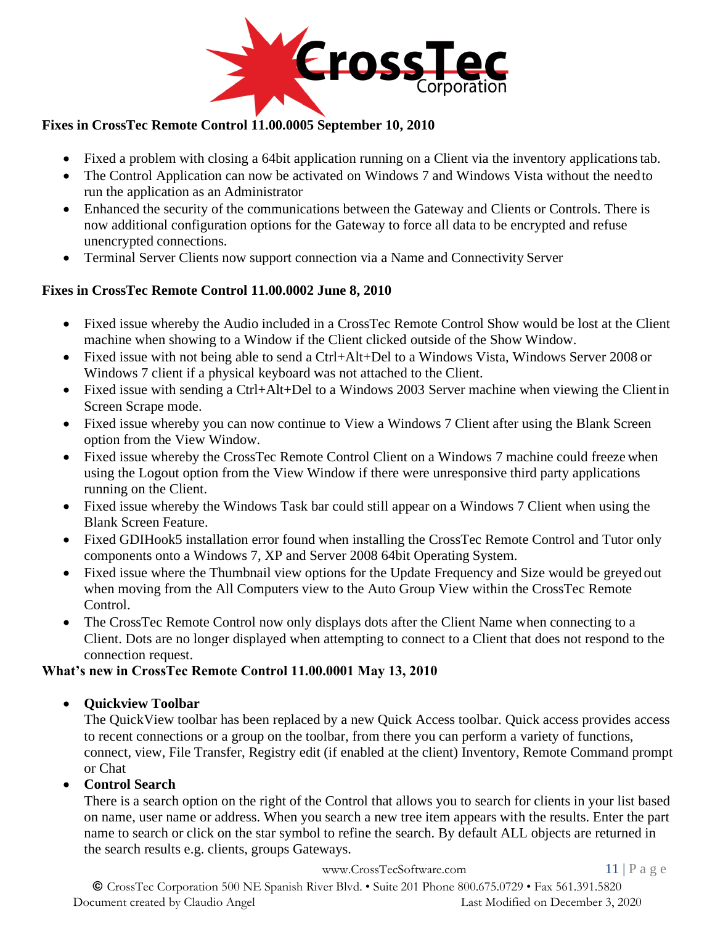

### **Fixes in CrossTec Remote Control 11.00.0005 September 10, 2010**

- Fixed a problem with closing a 64bit application running on a Client via the inventory applications tab.
- The Control Application can now be activated on Windows 7 and Windows Vista without the need to run the application as an Administrator
- Enhanced the security of the communications between the Gateway and Clients or Controls. There is now additional configuration options for the Gateway to force all data to be encrypted and refuse unencrypted connections.
- Terminal Server Clients now support connection via a Name and Connectivity Server

#### **Fixes in CrossTec Remote Control 11.00.0002 June 8, 2010**

- Fixed issue whereby the Audio included in a CrossTec Remote Control Show would be lost at the Client machine when showing to a Window if the Client clicked outside of the Show Window.
- Fixed issue with not being able to send a Ctrl+Alt+Del to a Windows Vista, Windows Server 2008 or Windows 7 client if a physical keyboard was not attached to the Client.
- Fixed issue with sending a Ctrl+Alt+Del to a Windows 2003 Server machine when viewing the Clientin Screen Scrape mode.
- Fixed issue whereby you can now continue to View a Windows 7 Client after using the Blank Screen option from the View Window.
- Fixed issue whereby the CrossTec Remote Control Client on a Windows 7 machine could freeze when using the Logout option from the View Window if there were unresponsive third party applications running on the Client.
- Fixed issue whereby the Windows Task bar could still appear on a Windows 7 Client when using the Blank Screen Feature.
- Fixed GDIHook5 installation error found when installing the CrossTec Remote Control and Tutor only components onto a Windows 7, XP and Server 2008 64bit Operating System.
- Fixed issue where the Thumbnail view options for the Update Frequency and Size would be greyed out when moving from the All Computers view to the Auto Group View within the CrossTec Remote Control.
- The CrossTec Remote Control now only displays dots after the Client Name when connecting to a Client. Dots are no longer displayed when attempting to connect to a Client that does not respond to the connection request.

#### **What's new in CrossTec Remote Control 11.00.0001 May 13, 2010**

• **Quickview Toolbar**

The QuickView toolbar has been replaced by a new Quick Access toolbar. Quick access provides access to recent connections or a group on the toolbar, from there you can perform a variety of functions, connect, view, File Transfer, Registry edit (if enabled at the client) Inventory, Remote Command prompt or Chat

#### • **Control Search**

There is a search option on the right of the Control that allows you to search for clients in your list based on name, user name or address. When you search a new tree item appears with the results. Enter the part name to search or click on the star symbol to refine the search. By default ALL objects are returned in the search results e.g. clients, groups Gateways.

[www.CrossTecSoftware.com](http://www.crosstecsoftware.com/) 11 | P a g e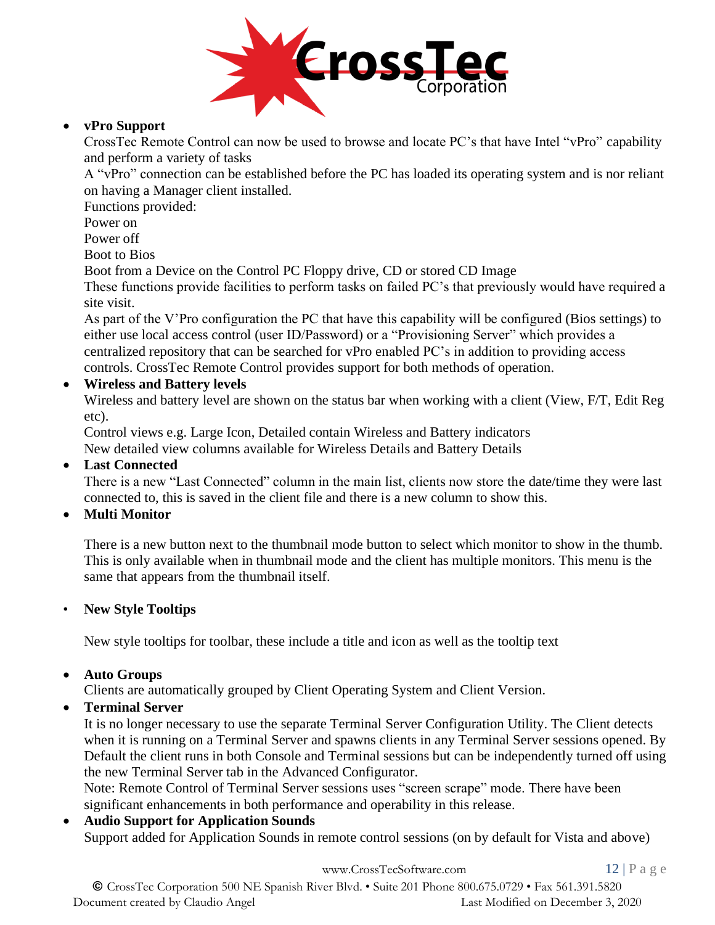

#### • **vPro Support**

CrossTec Remote Control can now be used to browse and locate PC's that have Intel "vPro" capability and perform a variety of tasks

A "vPro" connection can be established before the PC has loaded its operating system and is nor reliant on having a Manager client installed.

Functions provided:

Power on

Power off

Boot to Bios

Boot from a Device on the Control PC Floppy drive, CD or stored CD Image

These functions provide facilities to perform tasks on failed PC's that previously would have required a site visit.

As part of the V'Pro configuration the PC that have this capability will be configured (Bios settings) to either use local access control (user ID/Password) or a "Provisioning Server" which provides a centralized repository that can be searched for vPro enabled PC's in addition to providing access controls. CrossTec Remote Control provides support for both methods of operation.

### • **Wireless and Battery levels**

Wireless and battery level are shown on the status bar when working with a client (View, F/T, Edit Reg etc).

Control views e.g. Large Icon, Detailed contain Wireless and Battery indicators New detailed view columns available for Wireless Details and Battery Details

### • **Last Connected**

There is a new "Last Connected" column in the main list, clients now store the date/time they were last connected to, this is saved in the client file and there is a new column to show this.

### • **Multi Monitor**

There is a new button next to the thumbnail mode button to select which monitor to show in the thumb. This is only available when in thumbnail mode and the client has multiple monitors. This menu is the same that appears from the thumbnail itself.

#### • **New Style Tooltips**

New style tooltips for toolbar, these include a title and icon as well as the tooltip text

### • **Auto Groups**

Clients are automatically grouped by Client Operating System and Client Version.

### • **Terminal Server**

It is no longer necessary to use the separate Terminal Server Configuration Utility. The Client detects when it is running on a Terminal Server and spawns clients in any Terminal Server sessions opened. By Default the client runs in both Console and Terminal sessions but can be independently turned off using the new Terminal Server tab in the Advanced Configurator.

Note: Remote Control of Terminal Server sessions uses "screen scrape" mode. There have been significant enhancements in both performance and operability in this release.

# • **Audio Support for Application Sounds** Support added for Application Sounds in remote control sessions (on by default for Vista and above)

[www.CrossTecSoftware.com](http://www.crosstecsoftware.com/) 12 | P a g e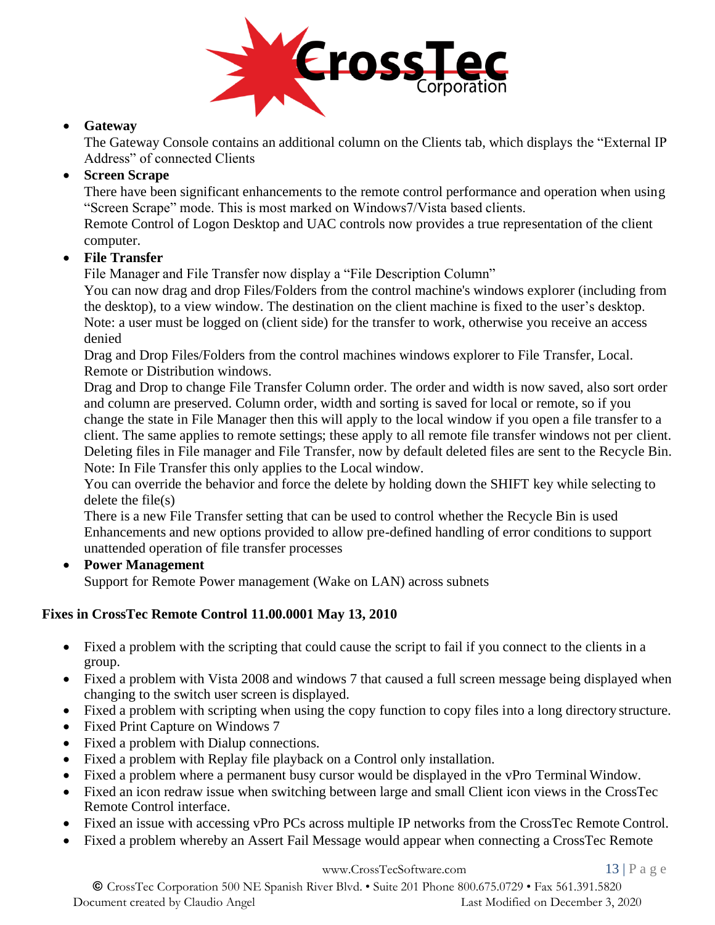

#### • **Gateway**

The Gateway Console contains an additional column on the Clients tab, which displays the "External IP Address" of connected Clients

#### • **Screen Scrape**

There have been significant enhancements to the remote control performance and operation when using "Screen Scrape" mode. This is most marked on Windows7/Vista based clients.

Remote Control of Logon Desktop and UAC controls now provides a true representation of the client computer.

#### • **File Transfer**

File Manager and File Transfer now display a "File Description Column"

You can now drag and drop Files/Folders from the control machine's windows explorer (including from the desktop), to a view window. The destination on the client machine is fixed to the user's desktop. Note: a user must be logged on (client side) for the transfer to work, otherwise you receive an access denied

Drag and Drop Files/Folders from the control machines windows explorer to File Transfer, Local. Remote or Distribution windows.

Drag and Drop to change File Transfer Column order. The order and width is now saved, also sort order and column are preserved. Column order, width and sorting is saved for local or remote, so if you change the state in File Manager then this will apply to the local window if you open a file transfer to a client. The same applies to remote settings; these apply to all remote file transfer windows not per client. Deleting files in File manager and File Transfer, now by default deleted files are sent to the Recycle Bin. Note: In File Transfer this only applies to the Local window.

You can override the behavior and force the delete by holding down the SHIFT key while selecting to delete the file(s)

There is a new File Transfer setting that can be used to control whether the Recycle Bin is used Enhancements and new options provided to allow pre-defined handling of error conditions to support unattended operation of file transfer processes

• **Power Management**

Support for Remote Power management (Wake on LAN) across subnets

### **Fixes in CrossTec Remote Control 11.00.0001 May 13, 2010**

- Fixed a problem with the scripting that could cause the script to fail if you connect to the clients in a group.
- Fixed a problem with Vista 2008 and windows 7 that caused a full screen message being displayed when changing to the switch user screen is displayed.
- Fixed a problem with scripting when using the copy function to copy files into a long directory structure.
- Fixed Print Capture on Windows 7
- Fixed a problem with Dialup connections.
- Fixed a problem with Replay file playback on a Control only installation.
- Fixed a problem where a permanent busy cursor would be displayed in the vPro Terminal Window.
- Fixed an icon redraw issue when switching between large and small Client icon views in the CrossTec Remote Control interface.
- Fixed an issue with accessing vPro PCs across multiple IP networks from the CrossTec Remote Control.
- Fixed a problem whereby an Assert Fail Message would appear when connecting a CrossTec Remote

[www.CrossTecSoftware.com](http://www.crosstecsoftware.com/) 13 | P a g e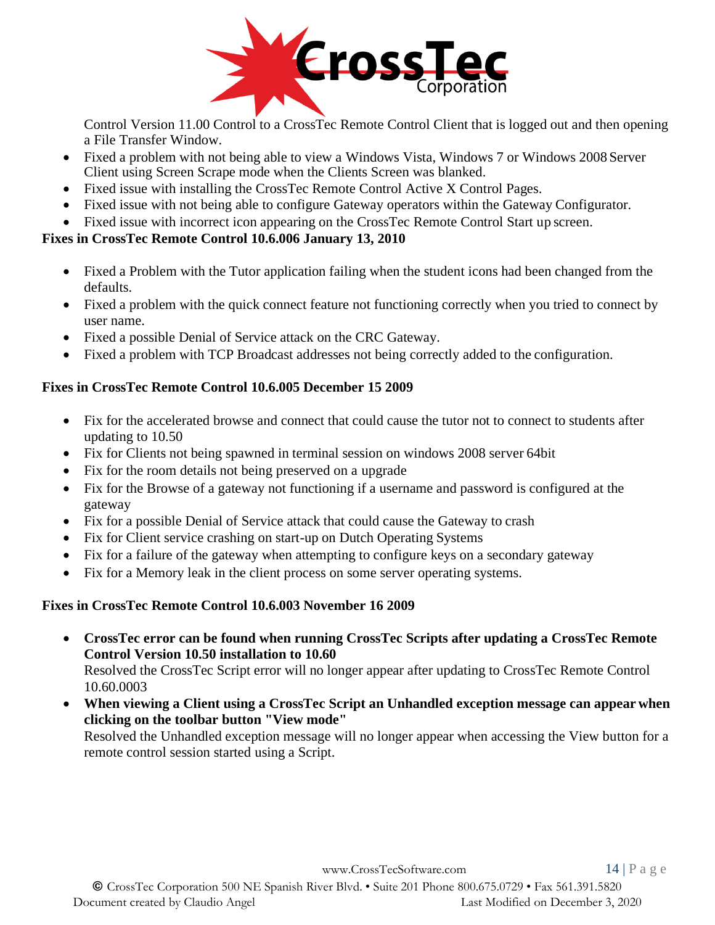

Control Version 11.00 Control to a CrossTec Remote Control Client that is logged out and then opening a File Transfer Window.

- Fixed a problem with not being able to view a Windows Vista, Windows 7 or Windows 2008 Server Client using Screen Scrape mode when the Clients Screen was blanked.
- Fixed issue with installing the CrossTec Remote Control Active X Control Pages.
- Fixed issue with not being able to configure Gateway operators within the Gateway Configurator.
- Fixed issue with incorrect icon appearing on the CrossTec Remote Control Start up screen.

### **Fixes in CrossTec Remote Control 10.6.006 January 13, 2010**

- Fixed a Problem with the Tutor application failing when the student icons had been changed from the defaults.
- Fixed a problem with the quick connect feature not functioning correctly when you tried to connect by user name.
- Fixed a possible Denial of Service attack on the CRC Gateway.
- Fixed a problem with TCP Broadcast addresses not being correctly added to the configuration.

### **Fixes in CrossTec Remote Control 10.6.005 December 15 2009**

- Fix for the accelerated browse and connect that could cause the tutor not to connect to students after updating to 10.50
- Fix for Clients not being spawned in terminal session on windows 2008 server 64bit
- Fix for the room details not being preserved on a upgrade
- Fix for the Browse of a gateway not functioning if a username and password is configured at the gateway
- Fix for a possible Denial of Service attack that could cause the Gateway to crash
- Fix for Client service crashing on start-up on Dutch Operating Systems
- Fix for a failure of the gateway when attempting to configure keys on a secondary gateway
- Fix for a Memory leak in the client process on some server operating systems.

### **Fixes in CrossTec Remote Control 10.6.003 November 16 2009**

• **CrossTec error can be found when running CrossTec Scripts after updating a CrossTec Remote Control Version 10.50 installation to 10.60**

Resolved the CrossTec Script error will no longer appear after updating to CrossTec Remote Control 10.60.0003

• **When viewing a Client using a CrossTec Script an Unhandled exception message can appear when clicking on the toolbar button "View mode"**

Resolved the Unhandled exception message will no longer appear when accessing the View button for a remote control session started using a Script.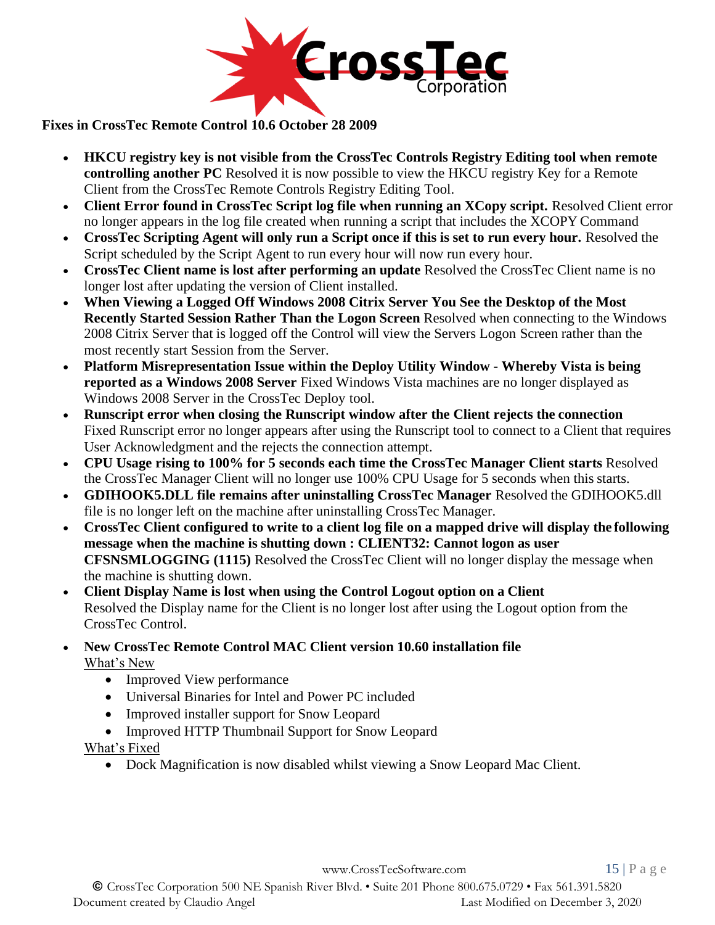

**Fixes in CrossTec Remote Control 10.6 October 28 2009**

- **HKCU registry key is not visible from the CrossTec Controls Registry Editing tool when remote controlling another PC** Resolved it is now possible to view the HKCU registry Key for a Remote Client from the CrossTec Remote Controls Registry Editing Tool.
- **Client Error found in CrossTec Script log file when running an XCopy script.** Resolved Client error no longer appears in the log file created when running a script that includes the XCOPY Command
- CrossTec Scripting Agent will only run a Script once if this is set to run every hour. Resolved the Script scheduled by the Script Agent to run every hour will now run every hour.
- **CrossTec Client name is lost after performing an update** Resolved the CrossTec Client name is no longer lost after updating the version of Client installed.
- **When Viewing a Logged Off Windows 2008 Citrix Server You See the Desktop of the Most Recently Started Session Rather Than the Logon Screen** Resolved when connecting to the Windows 2008 Citrix Server that is logged off the Control will view the Servers Logon Screen rather than the most recently start Session from the Server.
- **Platform Misrepresentation Issue within the Deploy Utility Window - Whereby Vista is being reported as a Windows 2008 Server** Fixed Windows Vista machines are no longer displayed as Windows 2008 Server in the CrossTec Deploy tool.
- **Runscript error when closing the Runscript window after the Client rejects the connection** Fixed Runscript error no longer appears after using the Runscript tool to connect to a Client that requires User Acknowledgment and the rejects the connection attempt.
- **CPU Usage rising to 100% for 5 seconds each time the CrossTec Manager Client starts** Resolved the CrossTec Manager Client will no longer use 100% CPU Usage for 5 seconds when this starts.
- **GDIHOOK5.DLL file remains after uninstalling CrossTec Manager** Resolved the GDIHOOK5.dll file is no longer left on the machine after uninstalling CrossTec Manager.
- **CrossTec Client configured to write to a client log file on a mapped drive will display the following message when the machine is shutting down : CLIENT32: Cannot logon as user CFSNSMLOGGING (1115)** Resolved the CrossTec Client will no longer display the message when the machine is shutting down.
- **Client Display Name is lost when using the Control Logout option on a Client** Resolved the Display name for the Client is no longer lost after using the Logout option from the CrossTec Control.
- **New CrossTec Remote Control MAC Client version 10.60 installation file** What's New
	- Improved View performance
	- Universal Binaries for Intel and Power PC included
	- Improved installer support for Snow Leopard
	- Improved HTTP Thumbnail Support for Snow Leopard

What's Fixed

• Dock Magnification is now disabled whilst viewing a Snow Leopard Mac Client.

[www.CrossTecSoftware.com](http://www.crosstecsoftware.com/) 15 | P a g e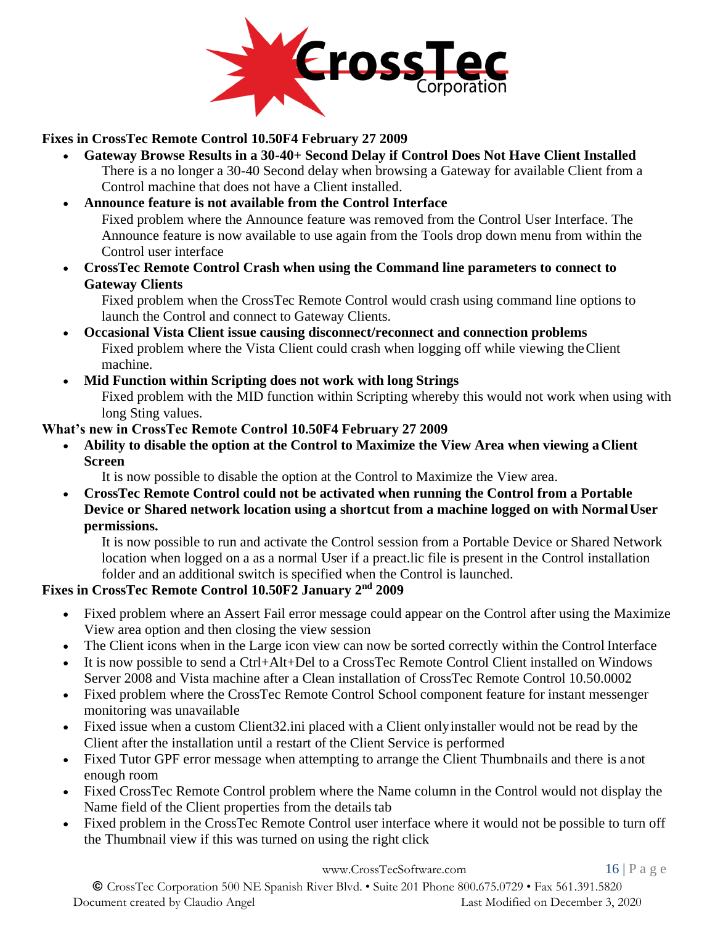

#### **Fixes in CrossTec Remote Control 10.50F4 February 27 2009**

- **Gateway Browse Results in a 30-40+ Second Delay if Control Does Not Have Client Installed**  There is a no longer a 30-40 Second delay when browsing a Gateway for available Client from a Control machine that does not have a Client installed.
- **Announce feature is not available from the Control Interface** Fixed problem where the Announce feature was removed from the Control User Interface. The Announce feature is now available to use again from the Tools drop down menu from within the Control user interface
- **CrossTec Remote Control Crash when using the Command line parameters to connect to Gateway Clients**

Fixed problem when the CrossTec Remote Control would crash using command line options to launch the Control and connect to Gateway Clients.

- **Occasional Vista Client issue causing disconnect/reconnect and connection problems**  Fixed problem where the Vista Client could crash when logging off while viewing theClient machine.
- **Mid Function within Scripting does not work with long Strings** Fixed problem with the MID function within Scripting whereby this would not work when using with long Sting values.

### **What's new in CrossTec Remote Control 10.50F4 February 27 2009**

• **Ability to disable the option at the Control to Maximize the View Area when viewing aClient Screen**

It is now possible to disable the option at the Control to Maximize the View area.

• **CrossTec Remote Control could not be activated when running the Control from a Portable Device or Shared network location using a shortcut from a machine logged on with NormalUser permissions.**

It is now possible to run and activate the Control session from a Portable Device or Shared Network location when logged on a as a normal User if a preact.lic file is present in the Control installation folder and an additional switch is specified when the Control is launched.

### **Fixes in CrossTec Remote Control 10.50F2 January 2nd 2009**

- Fixed problem where an Assert Fail error message could appear on the Control after using the Maximize View area option and then closing the view session
- The Client icons when in the Large icon view can now be sorted correctly within the Control Interface
- It is now possible to send a Ctrl+Alt+Del to a CrossTec Remote Control Client installed on Windows Server 2008 and Vista machine after a Clean installation of CrossTec Remote Control 10.50.0002
- Fixed problem where the CrossTec Remote Control School component feature for instant messenger monitoring was unavailable
- Fixed issue when a custom Client 32. ini placed with a Client only installer would not be read by the Client after the installation until a restart of the Client Service is performed
- Fixed Tutor GPF error message when attempting to arrange the Client Thumbnails and there is anot enough room
- Fixed CrossTec Remote Control problem where the Name column in the Control would not display the Name field of the Client properties from the details tab
- Fixed problem in the CrossTec Remote Control user interface where it would not be possible to turn off the Thumbnail view if this was turned on using the right click

[www.CrossTecSoftware.com](http://www.crosstecsoftware.com/) 16 | P a g e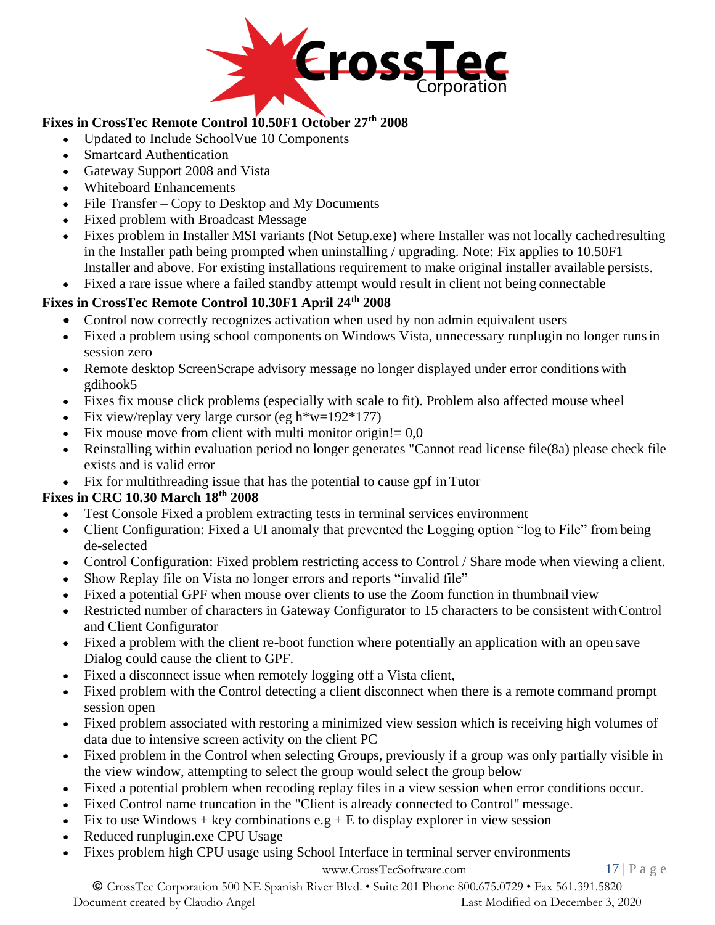

### **Fixes in CrossTec Remote Control 10.50F1 October 27th 2008**

- Updated to Include SchoolVue 10 Components
- Smartcard Authentication
- Gateway Support 2008 and Vista
- Whiteboard Enhancements
- File Transfer Copy to Desktop and My Documents
- Fixed problem with Broadcast Message
- Fixes problem in Installer MSI variants (Not Setup.exe) where Installer was not locally cachedresulting in the Installer path being prompted when uninstalling / upgrading. Note: Fix applies to 10.50F1 Installer and above. For existing installations requirement to make original installer available persists.
- Fixed a rare issue where a failed standby attempt would result in client not being connectable

### **Fixes in CrossTec Remote Control 10.30F1 April 24th 2008**

- Control now correctly recognizes activation when used by non admin equivalent users
- Fixed a problem using school components on Windows Vista, unnecessary runplugin no longer runs in session zero
- Remote desktop ScreenScrape advisory message no longer displayed under error conditions with gdihook5
- Fixes fix mouse click problems (especially with scale to fit). Problem also affected mouse wheel
- Fix view/replay very large cursor (eg h $*w=192*177$ )
- Fix mouse move from client with multi monitor origin! $= 0.0$
- Reinstalling within evaluation period no longer generates "Cannot read license file(8a) please check file exists and is valid error
- Fix for multithreading issue that has the potential to cause gpf in Tutor

## **Fixes in CRC 10.30 March 18th 2008**

- Test Console Fixed a problem extracting tests in terminal services environment
- Client Configuration: Fixed a UI anomaly that prevented the Logging option "log to File" from being de-selected
- Control Configuration: Fixed problem restricting access to Control / Share mode when viewing a client.
- Show Replay file on Vista no longer errors and reports "invalid file"
- Fixed a potential GPF when mouse over clients to use the Zoom function in thumbnail view
- Restricted number of characters in Gateway Configurator to 15 characters to be consistent with Control and Client Configurator
- Fixed a problem with the client re-boot function where potentially an application with an open save Dialog could cause the client to GPF.
- Fixed a disconnect issue when remotely logging off a Vista client,
- Fixed problem with the Control detecting a client disconnect when there is a remote command prompt session open
- Fixed problem associated with restoring a minimized view session which is receiving high volumes of data due to intensive screen activity on the client PC
- Fixed problem in the Control when selecting Groups, previously if a group was only partially visible in the view window, attempting to select the group would select the group below
- Fixed a potential problem when recoding replay files in a view session when error conditions occur.
- Fixed Control name truncation in the "Client is already connected to Control" message.
- Fix to use Windows + key combinations  $e.g + E$  to display explorer in view session
- Reduced runplugin.exe CPU Usage
- Fixes problem high CPU usage using School Interface in terminal server environments

[www.CrossTecSoftware.com](http://www.crosstecsoftware.com/) 17 | P a g e

© CrossTec Corporation 500 NE Spanish River Blvd. • Suite 201 Phone 800.675.0729 • Fax 561.391.5820 Document created by Claudio Angel Last Modified on December 3, 2020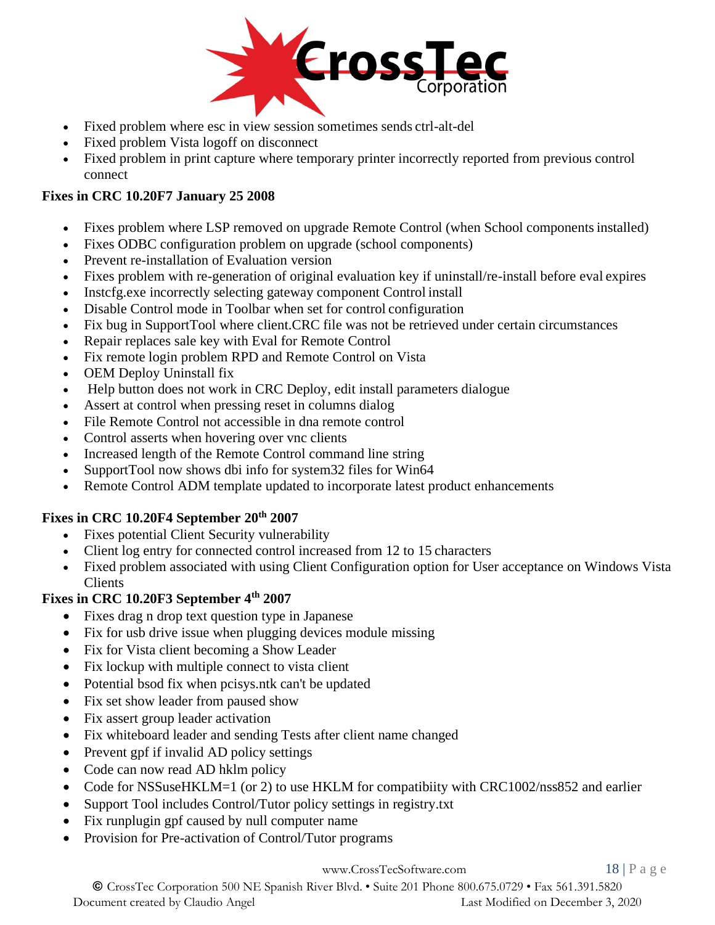

- Fixed problem where esc in view session sometimes sends ctrl-alt-del
- Fixed problem Vista logoff on disconnect
- Fixed problem in print capture where temporary printer incorrectly reported from previous control connect

### **Fixes in CRC 10.20F7 January 25 2008**

- Fixes problem where LSP removed on upgrade Remote Control (when School componentsinstalled)
- Fixes ODBC configuration problem on upgrade (school components)
- Prevent re-installation of Evaluation version
- Fixes problem with re-generation of original evaluation key if uninstall/re-install before eval expires
- Instcfg.exe incorrectly selecting gateway component Control install
- Disable Control mode in Toolbar when set for control configuration
- Fix bug in SupportTool where client.CRC file was not be retrieved under certain circumstances
- Repair replaces sale key with Eval for Remote Control
- Fix remote login problem RPD and Remote Control on Vista
- OEM Deploy Uninstall fix
- Help button does not work in CRC Deploy, edit install parameters dialogue
- Assert at control when pressing reset in columns dialog
- File Remote Control not accessible in dna remote control
- Control asserts when hovering over vnc clients
- Increased length of the Remote Control command line string
- SupportTool now shows dbi info for system32 files for Win64
- Remote Control ADM template updated to incorporate latest product enhancements

#### **Fixes in CRC 10.20F4 September 20th 2007**

- Fixes potential Client Security vulnerability
- Client log entry for connected control increased from 12 to 15 characters
- Fixed problem associated with using Client Configuration option for User acceptance on Windows Vista Clients

### **Fixes in CRC 10.20F3 September 4th 2007**

- Fixes drag n drop text question type in Japanese
- Fix for usb drive issue when plugging devices module missing
- Fix for Vista client becoming a Show Leader
- Fix lockup with multiple connect to vista client
- Potential bsod fix when pcisys.ntk can't be updated
- Fix set show leader from paused show
- Fix assert group leader activation
- Fix whiteboard leader and sending Tests after client name changed
- Prevent gpf if invalid AD policy settings
- Code can now read AD hklm policy
- Code for NSSuseHKLM=1 (or 2) to use HKLM for compatibiity with CRC1002/nss852 and earlier
- Support Tool includes Control/Tutor policy settings in registry.txt
- Fix runplugin gpf caused by null computer name
- Provision for Pre-activation of Control/Tutor programs

#### [www.CrossTecSoftware.com](http://www.crosstecsoftware.com/) 18 | P a g e

© CrossTec Corporation 500 NE Spanish River Blvd. • Suite 201 Phone 800.675.0729 • Fax 561.391.5820 Document created by Claudio Angel Last Modified on December 3, 2020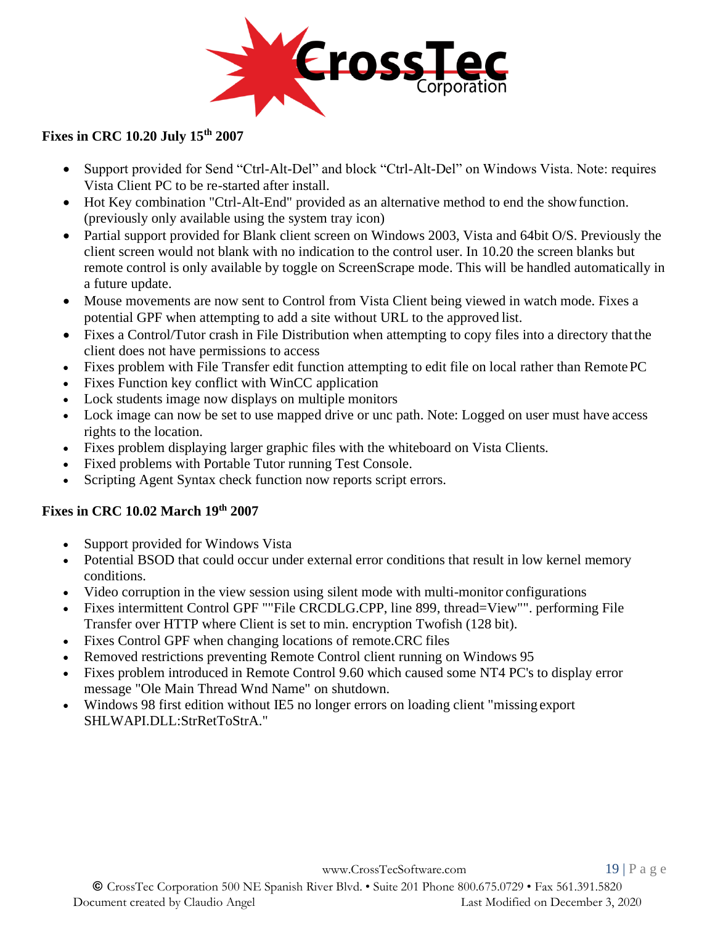

### **Fixes in CRC 10.20 July 15th 2007**

- Support provided for Send "Ctrl-Alt-Del" and block "Ctrl-Alt-Del" on Windows Vista. Note: requires Vista Client PC to be re-started after install.
- Hot Key combination "Ctrl-Alt-End" provided as an alternative method to end the showfunction. (previously only available using the system tray icon)
- Partial support provided for Blank client screen on Windows 2003, Vista and 64bit O/S. Previously the client screen would not blank with no indication to the control user. In 10.20 the screen blanks but remote control is only available by toggle on ScreenScrape mode. This will be handled automatically in a future update.
- Mouse movements are now sent to Control from Vista Client being viewed in watch mode. Fixes a potential GPF when attempting to add a site without URL to the approved list.
- Fixes a Control/Tutor crash in File Distribution when attempting to copy files into a directory that the client does not have permissions to access
- Fixes problem with File Transfer edit function attempting to edit file on local rather than Remote PC
- Fixes Function key conflict with WinCC application
- Lock students image now displays on multiple monitors
- Lock image can now be set to use mapped drive or unc path. Note: Logged on user must have access rights to the location.
- Fixes problem displaying larger graphic files with the whiteboard on Vista Clients.
- Fixed problems with Portable Tutor running Test Console.
- Scripting Agent Syntax check function now reports script errors.

#### **Fixes in CRC 10.02 March 19th 2007**

- Support provided for Windows Vista
- Potential BSOD that could occur under external error conditions that result in low kernel memory conditions.
- Video corruption in the view session using silent mode with multi-monitor configurations
- Fixes intermittent Control GPF ""File CRCDLG.CPP, line 899, thread=View"". performing File Transfer over HTTP where Client is set to min. encryption Twofish (128 bit).
- Fixes Control GPF when changing locations of remote.CRC files
- Removed restrictions preventing Remote Control client running on Windows 95
- Fixes problem introduced in Remote Control 9.60 which caused some NT4 PC's to display error message "Ole Main Thread Wnd Name" on shutdown.
- Windows 98 first edition without IE5 no longer errors on loading client "missing export SHLWAPI.DLL:StrRetToStrA."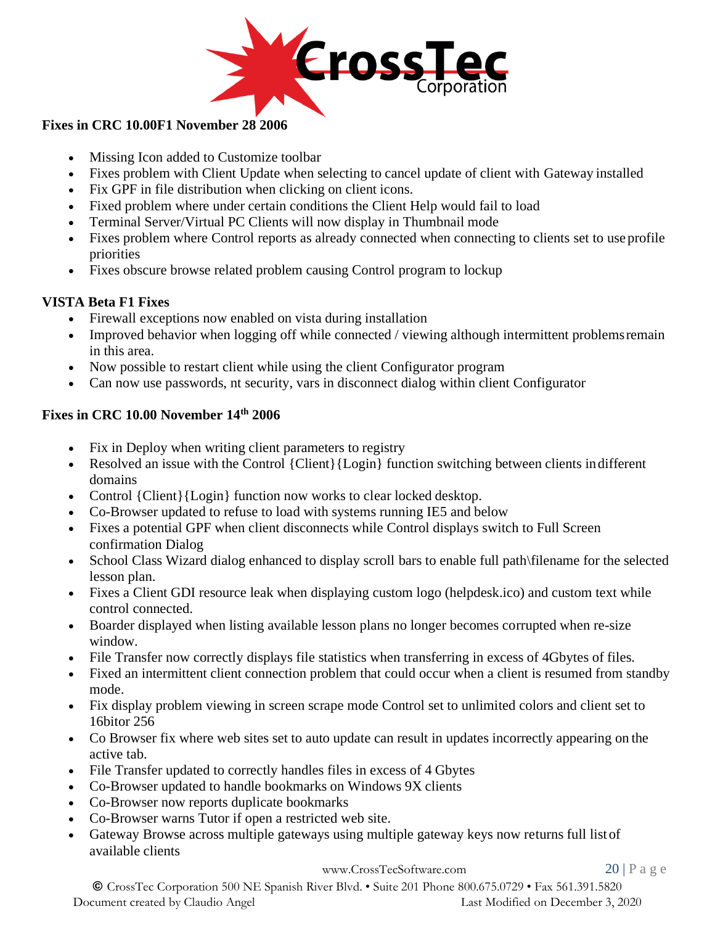

#### **Fixes in CRC 10.00F1 November 28 2006**

- Missing Icon added to Customize toolbar
- Fixes problem with Client Update when selecting to cancel update of client with Gateway installed
- Fix GPF in file distribution when clicking on client icons.
- Fixed problem where under certain conditions the Client Help would fail to load
- Terminal Server/Virtual PC Clients will now display in Thumbnail mode
- Fixes problem where Control reports as already connected when connecting to clients set to use profile priorities
- Fixes obscure browse related problem causing Control program to lockup

### **VISTA Beta F1 Fixes**

- Firewall exceptions now enabled on vista during installation
- Improved behavior when logging off while connected / viewing although intermittent problems remain in this area.
- Now possible to restart client while using the client Configurator program
- Can now use passwords, nt security, vars in disconnect dialog within client Configurator

### **Fixes in CRC 10.00 November 14th 2006**

- Fix in Deploy when writing client parameters to registry
- Resolved an issue with the Control {Client}{Login} function switching between clients indifferent domains
- Control {Client}{Login} function now works to clear locked desktop.
- Co-Browser updated to refuse to load with systems running IE5 and below
- Fixes a potential GPF when client disconnects while Control displays switch to Full Screen confirmation Dialog
- School Class Wizard dialog enhanced to display scroll bars to enable full path\filename for the selected lesson plan.
- Fixes a Client GDI resource leak when displaying custom logo (helpdesk.ico) and custom text while control connected.
- Boarder displayed when listing available lesson plans no longer becomes corrupted when re-size window.
- File Transfer now correctly displays file statistics when transferring in excess of 4Gbytes of files.
- Fixed an intermittent client connection problem that could occur when a client is resumed from standby mode.
- Fix display problem viewing in screen scrape mode Control set to unlimited colors and client set to 16bitor 256
- Co Browser fix where web sites set to auto update can result in updates incorrectly appearing on the active tab.
- File Transfer updated to correctly handles files in excess of 4 Gbytes
- Co-Browser updated to handle bookmarks on Windows 9X clients
- Co-Browser now reports duplicate bookmarks
- Co-Browser warns Tutor if open a restricted web site.
- Gateway Browse across multiple gateways using multiple gateway keys now returns full list of available clients

[www.CrossTecSoftware.com](http://www.crosstecsoftware.com/) 20 | P a g e

© CrossTec Corporation 500 NE Spanish River Blvd. • Suite 201 Phone 800.675.0729 • Fax 561.391.5820 Document created by Claudio Angel Last Modified on December 3, 2020